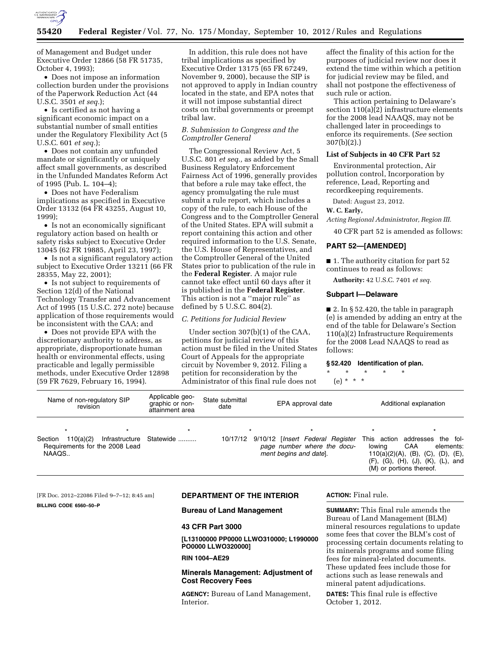

of Management and Budget under Executive Order 12866 (58 FR 51735, October 4, 1993);

• Does not impose an information collection burden under the provisions of the Paperwork Reduction Act (44 U.S.C. 3501 *et seq.*);

• Is certified as not having a significant economic impact on a substantial number of small entities under the Regulatory Flexibility Act (5 U.S.C. 601 *et seq.*);

• Does not contain any unfunded mandate or significantly or uniquely affect small governments, as described in the Unfunded Mandates Reform Act of 1995 (Pub. L. 104–4);

• Does not have Federalism implications as specified in Executive Order 13132 (64 FR 43255, August 10, 1999);

• Is not an economically significant regulatory action based on health or safety risks subject to Executive Order 13045 (62 FR 19885, April 23, 1997);

• Is not a significant regulatory action subject to Executive Order 13211 (66 FR 28355, May 22, 2001);

• Is not subject to requirements of Section 12(d) of the National Technology Transfer and Advancement Act of 1995 (15 U.S.C. 272 note) because application of those requirements would be inconsistent with the CAA; and

• Does not provide EPA with the discretionary authority to address, as appropriate, disproportionate human health or environmental effects, using practicable and legally permissible methods, under Executive Order 12898 (59 FR 7629, February 16, 1994).

In addition, this rule does not have tribal implications as specified by Executive Order 13175 (65 FR 67249, November 9, 2000), because the SIP is not approved to apply in Indian country located in the state, and EPA notes that it will not impose substantial direct costs on tribal governments or preempt tribal law.

## *B. Submission to Congress and the Comptroller General*

The Congressional Review Act, 5 U.S.C. 801 *et seq.,* as added by the Small Business Regulatory Enforcement Fairness Act of 1996, generally provides that before a rule may take effect, the agency promulgating the rule must submit a rule report, which includes a copy of the rule, to each House of the Congress and to the Comptroller General of the United States. EPA will submit a report containing this action and other required information to the U.S. Senate, the U.S. House of Representatives, and the Comptroller General of the United States prior to publication of the rule in the **Federal Register**. A major rule cannot take effect until 60 days after it is published in the **Federal Register**. This action is not a ''major rule'' as defined by 5 U.S.C. 804(2).

## *C. Petitions for Judicial Review*

Under section 307(b)(1) of the CAA, petitions for judicial review of this action must be filed in the United States Court of Appeals for the appropriate circuit by November 9, 2012. Filing a petition for reconsideration by the Administrator of this final rule does not

affect the finality of this action for the purposes of judicial review nor does it extend the time within which a petition for judicial review may be filed, and shall not postpone the effectiveness of such rule or action.

This action pertaining to Delaware's section 110(a)(2) infrastructure elements for the 2008 lead NAAQS, may not be challenged later in proceedings to enforce its requirements. (*See* section 307(b)(2).)

#### **List of Subjects in 40 CFR Part 52**

Environmental protection, Air pollution control, Incorporation by reference, Lead, Reporting and recordkeeping requirements.

Dated: August 23, 2012.

#### **W. C. Early,**

*Acting Regional Administrator, Region III.* 

40 CFR part 52 is amended as follows:

### **PART 52—[AMENDED]**

■ 1. The authority citation for part 52 continues to read as follows:

**Authority:** 42 U.S.C. 7401 *et seq.* 

### **Subpart I—Delaware**

■ 2. In § 52.420, the table in paragraph (e) is amended by adding an entry at the end of the table for Delaware's Section 110(a)(2) Infrastructure Requirements for the 2008 Lead NAAQS to read as follows:

## **§ 52.420 Identification of plan.**

- \* \* \* \* \*
	- (e) \* \* \*

Name of non-regulatory SIP revision Applicable geographic or nonattainment area State submittal<br>date EPA approval date Additional explanation \*\*\*\*\*\*\* Section 110(a)(2) Infrastructure Requirements for the 2008 Lead NAAQS.. Statewide .......... 10/17/12 9/10/12 [*Insert Federal Register page number where the document begins and date*]. This action addresses the following CAA elements: 110(a)(2)(A), (B), (C), (D), (E), (F), (G), (H), (J), (K), (L), and (M) or portions thereof.

[FR Doc. 2012–22086 Filed 9–7–12; 8:45 am]

**BILLING CODE 6560–50–P** 

### **DEPARTMENT OF THE INTERIOR**

## **Bureau of Land Management**

#### **43 CFR Part 3000**

**[L13100000 PP0000 LLWO310000; L1990000 PO0000 LLWO320000]** 

# **RIN 1004–AE29**

# **Minerals Management: Adjustment of Cost Recovery Fees**

**AGENCY:** Bureau of Land Management, Interior.

#### **ACTION:** Final rule.

**SUMMARY:** This final rule amends the Bureau of Land Management (BLM) mineral resources regulations to update some fees that cover the BLM's cost of processing certain documents relating to its minerals programs and some filing fees for mineral-related documents. These updated fees include those for actions such as lease renewals and mineral patent adjudications.

**DATES:** This final rule is effective October 1, 2012.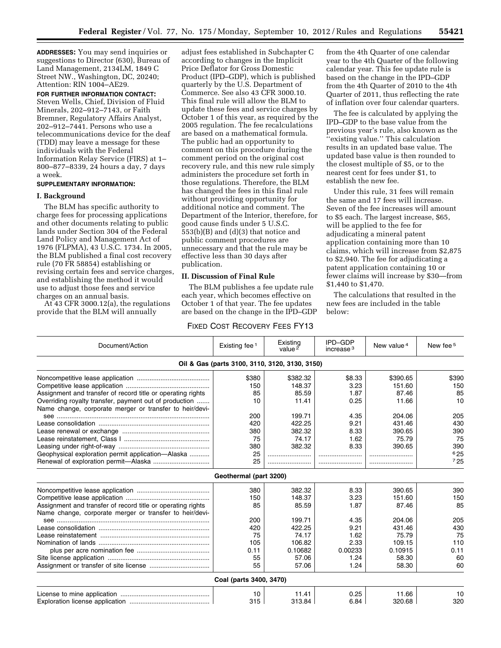**ADDRESSES:** You may send inquiries or suggestions to Director (630), Bureau of Land Management, 2134LM, 1849 C Street NW., Washington, DC, 20240; Attention: RIN 1004–AE29.

**FOR FURTHER INFORMATION CONTACT:**  Steven Wells, Chief, Division of Fluid Minerals, 202–912–7143, or Faith Bremner, Regulatory Affairs Analyst, 202–912–7441. Persons who use a telecommunications device for the deaf (TDD) may leave a message for these individuals with the Federal Information Relay Service (FIRS) at 1– 800–877–8339, 24 hours a day, 7 days a week.

# **SUPPLEMENTARY INFORMATION:**

## **I. Background**

The BLM has specific authority to charge fees for processing applications and other documents relating to public lands under Section 304 of the Federal Land Policy and Management Act of 1976 (FLPMA), 43 U.S.C. 1734. In 2005, the BLM published a final cost recovery rule (70 FR 58854) establishing or revising certain fees and service charges, and establishing the method it would use to adjust those fees and service charges on an annual basis.

At 43 CFR 3000.12(a), the regulations provide that the BLM will annually

adjust fees established in Subchapter C according to changes in the Implicit Price Deflator for Gross Domestic Product (IPD–GDP), which is published quarterly by the U.S. Department of Commerce. See also 43 CFR 3000.10. This final rule will allow the BLM to update these fees and service charges by October 1 of this year, as required by the 2005 regulation. The fee recalculations are based on a mathematical formula. The public had an opportunity to comment on this procedure during the comment period on the original cost recovery rule, and this new rule simply administers the procedure set forth in those regulations. Therefore, the BLM has changed the fees in this final rule without providing opportunity for additional notice and comment. The Department of the Interior, therefore, for good cause finds under 5 U.S.C. 553(b)(B) and (d)(3) that notice and public comment procedures are unnecessary and that the rule may be effective less than 30 days after publication.

# **II. Discussion of Final Rule**

The BLM publishes a fee update rule each year, which becomes effective on October 1 of that year. The fee updates are based on the change in the IPD–GDP

# FIXED COST RECOVERY FEES FY13

from the 4th Quarter of one calendar year to the 4th Quarter of the following calendar year. This fee update rule is based on the change in the IPD–GDP from the 4th Quarter of 2010 to the 4th Quarter of 2011, thus reflecting the rate of inflation over four calendar quarters.

The fee is calculated by applying the IPD–GDP to the base value from the previous year's rule, also known as the 'existing value." This calculation results in an updated base value. The updated base value is then rounded to the closest multiple of \$5, or to the nearest cent for fees under \$1, to establish the new fee.

Under this rule, 31 fees will remain the same and 17 fees will increase. Seven of the fee increases will amount to \$5 each. The largest increase, \$65, will be applied to the fee for adjudicating a mineral patent application containing more than 10 claims, which will increase from \$2,875 to \$2,940. The fee for adjudicating a patent application containing 10 or fewer claims will increase by \$30—from \$1,440 to \$1,470.

The calculations that resulted in the new fees are included in the table below:

| Document/Action                                             | Existing fee 1          | Existing<br>value $\overline{2}$ | IPD-GDP<br>increase $3$ | New value <sup>4</sup> | New fee 5 |  |  |  |
|-------------------------------------------------------------|-------------------------|----------------------------------|-------------------------|------------------------|-----------|--|--|--|
| Oil & Gas (parts 3100, 3110, 3120, 3130, 3150)              |                         |                                  |                         |                        |           |  |  |  |
|                                                             | \$380                   | \$382.32                         | \$8.33                  | \$390.65               | \$390     |  |  |  |
|                                                             | 150                     | 148.37                           | 3.23                    | 151.60                 | 150       |  |  |  |
| Assignment and transfer of record title or operating rights | 85                      | 85.59                            | 1.87                    | 87.46                  | 85        |  |  |  |
| Overriding royalty transfer, payment out of production      | 10                      | 11.41                            | 0.25                    | 11.66                  | 10        |  |  |  |
| Name change, corporate merger or transfer to heir/devi-     |                         |                                  |                         |                        |           |  |  |  |
|                                                             | 200                     | 199.71                           | 4.35                    | 204.06                 | 205       |  |  |  |
|                                                             | 420                     | 422.25                           | 9.21                    | 431.46                 | 430       |  |  |  |
|                                                             | 380                     | 382.32                           | 8.33                    | 390.65                 | 390       |  |  |  |
|                                                             | 75                      | 74.17                            | 1.62                    | 75.79                  | 75        |  |  |  |
|                                                             | 380                     | 382.32                           | 8.33                    | 390.65                 | 390       |  |  |  |
| Geophysical exploration permit application-Alaska           | 25                      |                                  |                         |                        | 625       |  |  |  |
|                                                             | 25                      |                                  |                         |                        | 725       |  |  |  |
|                                                             | Geothermal (part 3200)  |                                  |                         |                        |           |  |  |  |
|                                                             | 380                     | 382.32                           | 8.33                    | 390.65                 | 390       |  |  |  |
|                                                             | 150                     | 148.37                           | 3.23                    | 151.60                 | 150       |  |  |  |
| Assignment and transfer of record title or operating rights | 85                      | 85.59                            | 1.87                    | 87.46                  | 85        |  |  |  |
| Name change, corporate merger or transfer to heir/devi-     |                         |                                  |                         |                        |           |  |  |  |
|                                                             | 200                     | 199.71                           | 4.35                    | 204.06                 | 205       |  |  |  |
|                                                             | 420                     | 422.25                           | 9.21                    | 431.46                 | 430       |  |  |  |
|                                                             | 75                      | 74.17                            | 1.62                    | 75.79                  | 75        |  |  |  |
|                                                             | 105                     | 106.82                           | 2.33                    | 109.15                 | 110       |  |  |  |
|                                                             | 0.11                    | 0.10682                          | 0.00233                 | 0.10915                | 0.11      |  |  |  |
|                                                             | 55                      | 57.06                            | 1.24                    | 58.30                  | 60        |  |  |  |
|                                                             | 55                      | 57.06                            | 1.24                    | 58.30                  | 60        |  |  |  |
|                                                             | Coal (parts 3400, 3470) |                                  |                         |                        |           |  |  |  |
|                                                             | 10                      | 11.41                            | 0.25                    | 11.66                  | 10        |  |  |  |
|                                                             | 315                     | 313.84                           | 6.84                    | 320.68                 | 320       |  |  |  |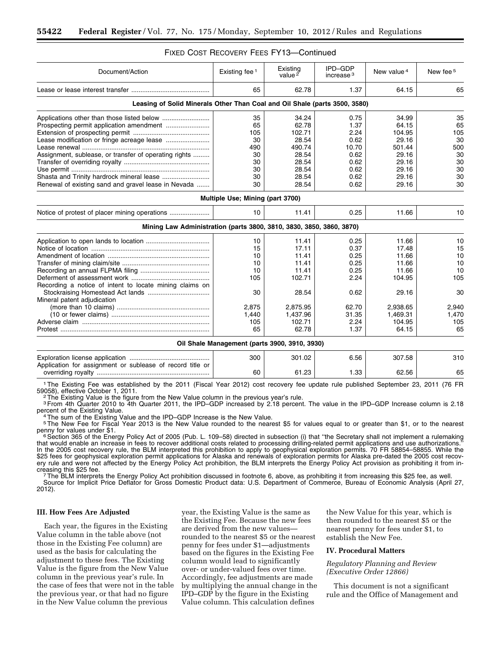| Document/Action                                                            | Existing fee <sup>1</sup>                     | Existing<br>value $\overline{2}$ | IPD-GDP<br>increase <sup>3</sup> | New value <sup>4</sup> | New fee <sup>5</sup> |
|----------------------------------------------------------------------------|-----------------------------------------------|----------------------------------|----------------------------------|------------------------|----------------------|
|                                                                            | 65                                            | 62.78                            | 1.37                             | 64.15                  | 65                   |
| Leasing of Solid Minerals Other Than Coal and Oil Shale (parts 3500, 3580) |                                               |                                  |                                  |                        |                      |
|                                                                            | 35                                            | 34.24                            | 0.75                             | 34.99                  | 35                   |
|                                                                            | 65                                            | 62.78                            | 1.37                             | 64.15                  | 65                   |
|                                                                            | 105                                           | 102.71                           | 2.24                             | 104.95                 | 105                  |
| Lease modification or fringe acreage lease                                 | 30                                            | 28.54                            | 0.62                             | 29.16                  | 30                   |
|                                                                            | 490                                           | 490.74                           | 10.70                            | 501.44                 | 500                  |
| Assignment, sublease, or transfer of operating rights                      | 30                                            | 28.54                            | 0.62                             | 29.16                  | 30                   |
|                                                                            | 30                                            | 28.54                            | 0.62                             | 29.16                  | 30                   |
|                                                                            | 30                                            | 28.54                            | 0.62                             | 29.16                  | 30                   |
| Shasta and Trinity hardrock mineral lease                                  | 30                                            | 28.54                            | 0.62                             | 29.16                  | 30                   |
| Renewal of existing sand and gravel lease in Nevada                        | 30                                            | 28.54                            | 0.62                             | 29.16                  | 30                   |
|                                                                            | Multiple Use; Mining (part 3700)              |                                  |                                  |                        |                      |
|                                                                            | 10                                            | 11.41                            | 0.25                             | 11.66                  | 10                   |
| Mining Law Administration (parts 3800, 3810, 3830, 3850, 3860, 3870)       |                                               |                                  |                                  |                        |                      |
|                                                                            | 10                                            | 11.41                            | 0.25                             | 11.66                  | 10                   |
|                                                                            | 15                                            | 17.11                            | 0.37                             | 17.48                  | 15                   |
|                                                                            | 10                                            | 11.41                            | 0.25                             | 11.66                  | 10                   |
|                                                                            | 10                                            | 11.41                            | 0.25                             | 11.66                  | 10                   |
|                                                                            | 10                                            | 11.41                            | 0.25                             | 11.66                  | 10                   |
|                                                                            | 105                                           | 102.71                           | 2.24                             | 104.95                 | 105                  |
| Recording a notice of intent to locate mining claims on                    |                                               |                                  |                                  |                        |                      |
|                                                                            | 30                                            | 28.54                            | 0.62                             | 29.16                  | 30                   |
| Mineral patent adjudication                                                |                                               |                                  |                                  |                        |                      |
|                                                                            | 2,875                                         | 2,875.95                         | 62.70                            | 2,938.65               | 2,940                |
|                                                                            | 1,440                                         | 1,437.96                         | 31.35                            | 1,469.31               | 1,470                |
|                                                                            | 105                                           | 102.71                           | 2.24                             | 104.95                 | 105                  |
|                                                                            | 65                                            | 62.78                            | 1.37                             | 64.15                  | 65                   |
|                                                                            | Oil Shale Management (parts 3900, 3910, 3930) |                                  |                                  |                        |                      |
|                                                                            | 300                                           | 301.02                           | 6.56                             | 307.58                 | 310                  |
| Application for assignment or sublease of record title or                  |                                               |                                  |                                  |                        |                      |
|                                                                            | 60                                            | 61.23                            | 1.33                             | 62.56                  | 65                   |

# FIXED COST RECOVERY FEES FY13—Continued

<sup>1</sup>The Existing Fee was established by the 2011 (Fiscal Year 2012) cost recovery fee update rule published September 23, 2011 (76 FR<br>59058), effective October 1, 2011. 59058), effective October 1, 2011.<br><sup>2</sup>The Existing Value is the figure from the New Value column in the previous year's rule.

3From 4th Quarter 2010 to 4th Quarter 2011, the IPD–GDP increased by 2.18 percent. The value in the IPD–GDP Increase column is 2.18 percent of the Existing Value.<br>4The sum of the Existing Value and the IPD–GDP Increase is the New Value.

5The New Fee for Fiscal Year 2013 is the New Value rounded to the nearest \$5 for values equal to or greater than \$1, or to the nearest penny for values under \$1.<br><sup>6</sup> Section 365 of the Energy Policy Act of 2005 (Pub. L. 109–58) directed in subsection (i) that "the Secretary shall not implement a rulemaking

that would enable an increase in fees to recover additional costs related to processing drilling-related permit applications and use authorizations." In the 2005 cost recovery rule, the BLM interpreted this prohibition to apply to geophysical exploration permits. 70 FR 58854-58855. While the \$25 fees for geophysical exploration permit applications for Alaska and renewals of exploration permits for Alaska pre-dated the 2005 cost recovery rule and were not affected by the Energy Policy Act prohibition, the BLM interprets the Energy Policy Act provision as prohibiting it from increasing this \$25 fee.<br>7The BLM interprets the Energy Policy Act prohibition discussed in footnote 6, above, as prohibiting it from increasing this \$25 fee, as well.

Source for Implicit Price Deflator for Gross Domestic Product data: U.S. Department of Commerce, Bureau of Economic Analysis (April 27, 2012).

# **III. How Fees Are Adjusted**

Each year, the figures in the Existing Value column in the table above (not those in the Existing Fee column) are used as the basis for calculating the adjustment to these fees. The Existing Value is the figure from the New Value column in the previous year's rule. In the case of fees that were not in the table the previous year, or that had no figure in the New Value column the previous

year, the Existing Value is the same as the Existing Fee. Because the new fees are derived from the new values rounded to the nearest \$5 or the nearest penny for fees under \$1—adjustments based on the figures in the Existing Fee column would lead to significantly over- or under-valued fees over time. Accordingly, fee adjustments are made by multiplying the annual change in the IPD–GDP by the figure in the Existing Value column. This calculation defines

the New Value for this year, which is then rounded to the nearest \$5 or the nearest penny for fees under \$1, to establish the New Fee.

# **IV. Procedural Matters**

*Regulatory Planning and Review (Executive Order 12866)* 

This document is not a significant rule and the Office of Management and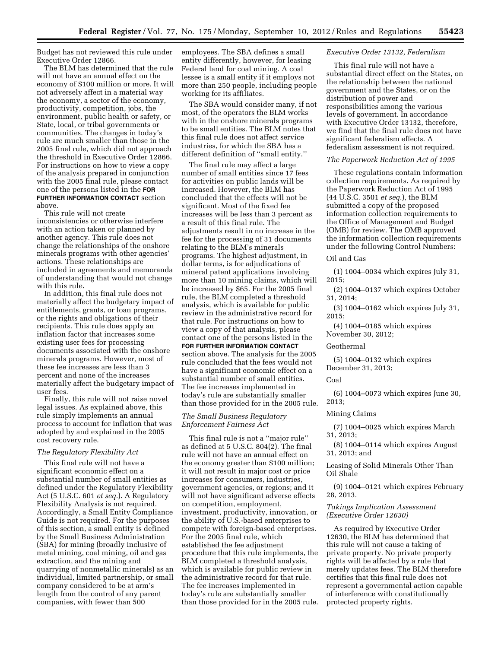Budget has not reviewed this rule under Executive Order 12866.

The BLM has determined that the rule will not have an annual effect on the economy of \$100 million or more. It will not adversely affect in a material way the economy, a sector of the economy, productivity, competition, jobs, the environment, public health or safety, or State, local, or tribal governments or communities. The changes in today's rule are much smaller than those in the 2005 final rule, which did not approach the threshold in Executive Order 12866. For instructions on how to view a copy of the analysis prepared in conjunction with the 2005 final rule, please contact one of the persons listed in the **FOR FURTHER INFORMATION CONTACT** section above.

This rule will not create inconsistencies or otherwise interfere with an action taken or planned by another agency. This rule does not change the relationships of the onshore minerals programs with other agencies' actions. These relationships are included in agreements and memoranda of understanding that would not change with this rule.

In addition, this final rule does not materially affect the budgetary impact of entitlements, grants, or loan programs, or the rights and obligations of their recipients. This rule does apply an inflation factor that increases some existing user fees for processing documents associated with the onshore minerals programs. However, most of these fee increases are less than 3 percent and none of the increases materially affect the budgetary impact of user fees.

Finally, this rule will not raise novel legal issues. As explained above, this rule simply implements an annual process to account for inflation that was adopted by and explained in the 2005 cost recovery rule.

#### *The Regulatory Flexibility Act*

This final rule will not have a significant economic effect on a substantial number of small entities as defined under the Regulatory Flexibility Act (5 U.S.C. 601 *et seq.*). A Regulatory Flexibility Analysis is not required. Accordingly, a Small Entity Compliance Guide is not required. For the purposes of this section, a small entity is defined by the Small Business Administration (SBA) for mining (broadly inclusive of metal mining, coal mining, oil and gas extraction, and the mining and quarrying of nonmetallic minerals) as an individual, limited partnership, or small company considered to be at arm's length from the control of any parent companies, with fewer than 500

employees. The SBA defines a small entity differently, however, for leasing Federal land for coal mining. A coal lessee is a small entity if it employs not more than 250 people, including people working for its affiliates.

The SBA would consider many, if not most, of the operators the BLM works with in the onshore minerals programs to be small entities. The BLM notes that this final rule does not affect service industries, for which the SBA has a different definition of ''small entity.''

The final rule may affect a large number of small entities since 17 fees for activities on public lands will be increased. However, the BLM has concluded that the effects will not be significant. Most of the fixed fee increases will be less than 3 percent as a result of this final rule. The adjustments result in no increase in the fee for the processing of 31 documents relating to the BLM's minerals programs. The highest adjustment, in dollar terms, is for adjudications of mineral patent applications involving more than 10 mining claims, which will be increased by \$65. For the 2005 final rule, the BLM completed a threshold analysis, which is available for public review in the administrative record for that rule. For instructions on how to view a copy of that analysis, please contact one of the persons listed in the **FOR FURTHER INFORMATION CONTACT** section above. The analysis for the 2005 rule concluded that the fees would not have a significant economic effect on a substantial number of small entities. The fee increases implemented in today's rule are substantially smaller than those provided for in the 2005 rule.

## *The Small Business Regulatory Enforcement Fairness Act*

This final rule is not a ''major rule'' as defined at 5 U.S.C. 804(2). The final rule will not have an annual effect on the economy greater than \$100 million; it will not result in major cost or price increases for consumers, industries, government agencies, or regions; and it will not have significant adverse effects on competition, employment, investment, productivity, innovation, or the ability of U.S.-based enterprises to compete with foreign-based enterprises. For the 2005 final rule, which established the fee adjustment procedure that this rule implements, the BLM completed a threshold analysis, which is available for public review in the administrative record for that rule. The fee increases implemented in today's rule are substantially smaller than those provided for in the 2005 rule.

#### *Executive Order 13132, Federalism*

This final rule will not have a substantial direct effect on the States, on the relationship between the national government and the States, or on the distribution of power and responsibilities among the various levels of government. In accordance with Executive Order 13132, therefore, we find that the final rule does not have significant federalism effects. A federalism assessment is not required.

### *The Paperwork Reduction Act of 1995*

These regulations contain information collection requirements. As required by the Paperwork Reduction Act of 1995 (44 U.S.C. 3501 *et seq.*), the BLM submitted a copy of the proposed information collection requirements to the Office of Management and Budget (OMB) for review. The OMB approved the information collection requirements under the following Control Numbers:

#### Oil and Gas

(1) 1004–0034 which expires July 31, 2015;

(2) 1004–0137 which expires October 31, 2014;

(3) 1004–0162 which expires July 31, 2015;

(4) 1004–0185 which expires November 30, 2012;

#### Geothermal

(5) 1004–0132 which expires December 31, 2013;

#### Coal

(6) 1004–0073 which expires June 30, 2013;

## Mining Claims

(7) 1004–0025 which expires March 31, 2013;

(8) 1004–0114 which expires August 31, 2013; and

Leasing of Solid Minerals Other Than Oil Shale

(9) 1004–0121 which expires February 28, 2013.

# *Takings Implication Assessment (Executive Order 12630)*

As required by Executive Order 12630, the BLM has determined that this rule will not cause a taking of private property. No private property rights will be affected by a rule that merely updates fees. The BLM therefore certifies that this final rule does not represent a governmental action capable of interference with constitutionally protected property rights.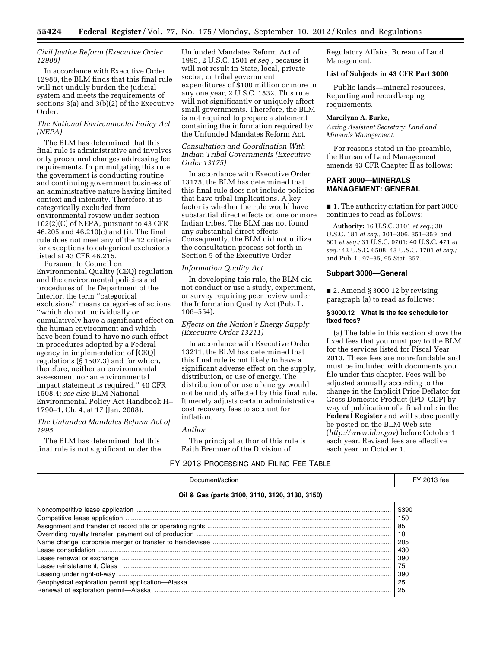## *Civil Justice Reform (Executive Order 12988)*

In accordance with Executive Order 12988, the BLM finds that this final rule will not unduly burden the judicial system and meets the requirements of sections 3(a) and 3(b)(2) of the Executive Order.

# *The National Environmental Policy Act (NEPA)*

The BLM has determined that this final rule is administrative and involves only procedural changes addressing fee requirements. In promulgating this rule, the government is conducting routine and continuing government business of an administrative nature having limited context and intensity. Therefore, it is categorically excluded from environmental review under section 102(2)(C) of NEPA, pursuant to 43 CFR 46.205 and 46.210(c) and (i). The final rule does not meet any of the 12 criteria for exceptions to categorical exclusions listed at 43 CFR 46.215.

Pursuant to Council on Environmental Quality (CEQ) regulation and the environmental policies and procedures of the Department of the Interior, the term ''categorical exclusions'' means categories of actions ''which do not individually or cumulatively have a significant effect on the human environment and which have been found to have no such effect in procedures adopted by a Federal agency in implementation of [CEQ] regulations ( $\bar{\S}$  1507.3) and for which, therefore, neither an environmental assessment nor an environmental impact statement is required.'' 40 CFR 1508.4; *see also* BLM National Environmental Policy Act Handbook H– 1790–1, Ch. 4, at 17 (Jan. 2008).

# *The Unfunded Mandates Reform Act of 1995*

The BLM has determined that this final rule is not significant under the Unfunded Mandates Reform Act of 1995, 2 U.S.C. 1501 *et seq.,* because it will not result in State, local, private sector, or tribal government expenditures of \$100 million or more in any one year, 2 U.S.C. 1532. This rule will not significantly or uniquely affect small governments. Therefore, the BLM is not required to prepare a statement containing the information required by the Unfunded Mandates Reform Act.

### *Consultation and Coordination With Indian Tribal Governments (Executive Order 13175)*

In accordance with Executive Order 13175, the BLM has determined that this final rule does not include policies that have tribal implications. A key factor is whether the rule would have substantial direct effects on one or more Indian tribes. The BLM has not found any substantial direct effects. Consequently, the BLM did not utilize the consultation process set forth in Section 5 of the Executive Order.

## *Information Quality Act*

In developing this rule, the BLM did not conduct or use a study, experiment, or survey requiring peer review under the Information Quality Act (Pub. L. 106–554).

# *Effects on the Nation's Energy Supply (Executive Order 13211)*

In accordance with Executive Order 13211, the BLM has determined that this final rule is not likely to have a significant adverse effect on the supply, distribution, or use of energy. The distribution of or use of energy would not be unduly affected by this final rule. It merely adjusts certain administrative cost recovery fees to account for inflation.

#### *Author*

The principal author of this rule is Faith Bremner of the Division of

Regulatory Affairs, Bureau of Land Management.

## **List of Subjects in 43 CFR Part 3000**

Public lands—mineral resources, Reporting and recordkeeping requirements.

# **Marcilynn A. Burke,**

*Acting Assistant Secretary, Land and Minerals Management.* 

For reasons stated in the preamble, the Bureau of Land Management amends 43 CFR Chapter II as follows:

# **PART 3000—MINERALS MANAGEMENT: GENERAL**

■ 1. The authority citation for part 3000 continues to read as follows:

**Authority:** 16 U.S.C. 3101 *et seq.;* 30 U.S.C. 181 *et seq.,* 301–306, 351–359, and 601 *et seq.;* 31 U.S.C. 9701; 40 U.S.C. 471 *et seq.;* 42 U.S.C. 6508; 43 U.S.C. 1701 *et seq.;*  and Pub. L. 97–35, 95 Stat. 357.

# **Subpart 3000—General**

■ 2. Amend § 3000.12 by revising paragraph (a) to read as follows:

## **§ 3000.12 What is the fee schedule for fixed fees?**

(a) The table in this section shows the fixed fees that you must pay to the BLM for the services listed for Fiscal Year 2013. These fees are nonrefundable and must be included with documents you file under this chapter. Fees will be adjusted annually according to the change in the Implicit Price Deflator for Gross Domestic Product (IPD–GDP) by way of publication of a final rule in the **Federal Register** and will subsequently be posted on the BLM Web site (*<http://www.blm.gov>*) before October 1 each year. Revised fees are effective each year on October 1.

# FY 2013 PROCESSING AND FILING FEE TABLE

| Document/action                                | FY 2013 fee |  |  |
|------------------------------------------------|-------------|--|--|
| Oil & Gas (parts 3100, 3110, 3120, 3130, 3150) |             |  |  |
|                                                | \$390       |  |  |
|                                                | 150         |  |  |
|                                                | 85          |  |  |
|                                                | -10         |  |  |
|                                                | -205        |  |  |
|                                                | 430         |  |  |
|                                                | 390         |  |  |
|                                                | 75          |  |  |
|                                                | 390         |  |  |
|                                                | 25          |  |  |
|                                                | 25          |  |  |